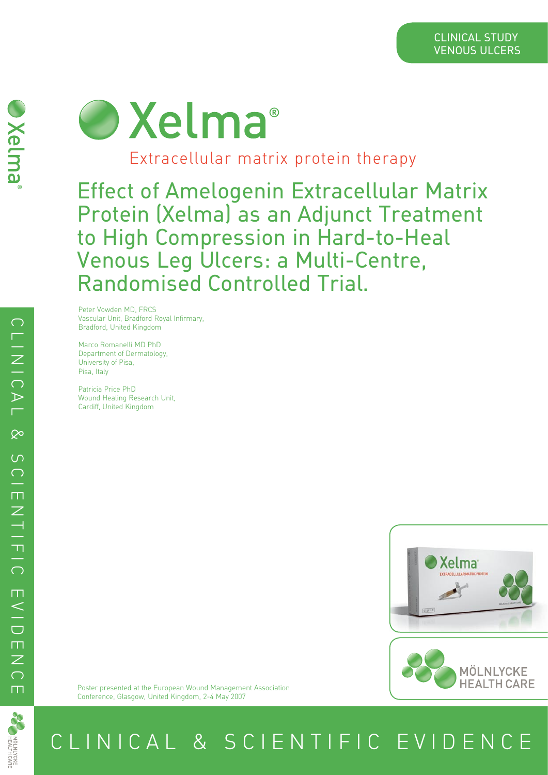# O Xelma<sup>®</sup>

Extracellular matrix protein therapy

Effect of Amelogenin Extracellular Matrix Protein (Xelma) as an Adjunct Treatment to High Compression in Hard-to-Heal Venous Leg Ulcers: a Multi-Centre, Randomised Controlled Trial.

Peter Vowden MD, FRCS Vascular Unit, Bradford Royal Infirmary, Bradford, United Kingdom

Marco Romanelli MD PhD Department of Dermatology, University of Pisa, Pisa, Italy

Patricia Price PhD Wound Healing Research Unit, Cardiff, United Kingdom





Poster presented at the European Wound Management Association Conference, Glasgow, United Kingdom, 2-4 May 2007



C L I N I C A L & S C I E N T I F I C E V I D E N C E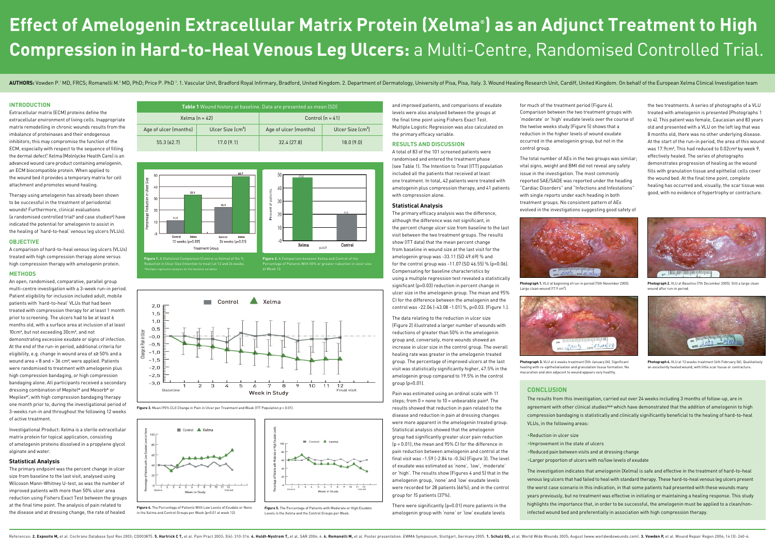# **Effect of Amelogenin Extracellular Matrix Protein (Xelma® ) as an Adjunct Treatment to High Compression in Hard-to-Heal Venous Leg Ulcers:** a Multi-Centre, Randomised Controlled Trial.

AUTHORS: Vowden P.<sup>1</sup> MD, FRCS; Romanelli M.<sup>2</sup> MD, PhD; Price P. PhD<sup>3</sup>. 1. Vascular Unit, Bradford Royal Infirmary, Bradford, United Kingdom. 2. Department of Dermatology, University of Pisa, Pisa, Italy. 3. Wound Healin

## **INTRODUCTION**

Extracellular matrix (ECM) proteins define the extracellular environment of living cells. Inappropriate matrix remodelling in chronic wounds results from the imbalance of proteinases and their endogenous inhibitors; this may compromise the function of the ECM, especially with respect to the sequence of filling the dermal defect.**<sup>1</sup>** Xelma (Molnlycke Health Care) is an advanced wound care product containing amelogenin, an ECM biocompatible protein. When applied to the wound bed it provides a temporary matrix for cell attachment and promotes wound healing.

Therapy using amelogenin has already been shown to be successful in the treatment of periodontal wounds.**<sup>2</sup>** Furthermore, clinical evaluations (a randomised controlled trial**<sup>3</sup>** and case studies**<sup>4</sup>** ) have indicated the potential for amelogenin to assist in the healing of 'hard-to-heal' venous leg ulcers (VLUs).

### **OBJECTIVE**

A comparison of hard-to-heal venous leg ulcers (VLUs) treated with high compression therapy alone versus high compression therapy with amelogenin protein.

# **METHODS**

An open, randomised, comparative, parallel group multi-centre investigation with a 3-week run-in period. Patient eligibility for inclusion included adult, mobile patients with 'hard-to-heal' VLUs that had been treated with compression therapy for at least 1 month prior to screening. The ulcers had to be at least 6 months old, with a surface area at inclusion of at least 10cm**<sup>2</sup>** , but not exceeding 30cm**<sup>2</sup>** , and not demonstrating excessive exudate or signs of infection. At the end of the run-in period, additional criteria for eligibility, e.g. change in wound area of ±≥ 50% and a wound area < 8 and > 36 cm**<sup>2</sup>** , were applied. Patients were randomised to treatment with amelogenin plus high compression bandaging, or high compression bandaging alone. All participants received a secondary dressing combination of Mepitel**®** and Mesorb**®** or Mepilex**®**', with high compression bandaging therapy one month prior to, during the investigational period of 3-weeks run-in and throughout the following 12 weeks of active treatment.

Investigational Product: Xelma is a sterile extracellular matrix protein for topical application, consisting of amelogenin proteins dissolved in a propylene glycol alginate and water.

### **Statistical Analysis**

The primary endpoint was the percent change in ulcer size from baseline to the last visit, analysed using Wilcoxon Mann-Whitney U-test, as was the number of improved patients with more than 50% ulcer area reduction using Fishers Exact Test between the groups at the final time point. The analysis of pain related to the disease and at dressing change, the rate of healed

and improved patients, and comparisons of exudate levels were also analysed between the groups at the final time point using Fishers Exact Test. Multiple Logistic Regression was also calculated on the primary efficacy variable.

### **RESULTS AND DISCUSSION**

A total of 83 of the 101 screened patients were randomised and entered the treatment phase (see Table 1). The Intention to Treat (ITT) population included all the patients that received at least one treatment. In total, 42 patients were treated with amelogenin plus compression therapy, and 41 patients with compression alone.

### **Statistical Analysis**

The primary efficacy analysis was the difference, although the difference was not significant, in the percent change ulcer size from baseline to the last visit between the two treatment groups. The results show (ITT data) that the mean percent change from baseline in wound size at the last visit for the amelogenin group was -33.11 (SD 49.69) % and for the control group was -11.07 (SD 46.55) % (p=0.06). Compensating for baseline characteristics by using a multiple regression test revealed a statistically significant (p=0.03) reduction in percent change in ulcer size in the amelogenin group. The mean and 95% CI for the difference between the amelogenin and the control was -22.04 (-43.08 -1.01) %, p=0.03. (Figure 1.).

The data relating to the reduction in ulcer size (Figure 2) illustrated a larger number of wounds with reductions of greater than 50% in the amelogenin group and, conversely, more wounds showed an increase in ulcer size in the control group. The overall healing rate was greater in the amelogenin treated group. The percentage of improved ulcers at the last visit was statistically significantly higher, 47.5% in the amelogenin group compared to 19.5% in the control group (p=0.01).

Pain was estimated using an ordinal scale with 11 steps; from 0 = none to 10 = unbearable pain**<sup>5</sup>** . The results showed that reduction in pain related to the disease and reduction in pain at dressing changes were more apparent in the amelogenin treated group. Statistical analysis showed that the amelogenin group had significantly greater ulcer pain reduction (p = 0.01); the mean and 95% CI for the difference in pain reduction between amelogenin and control at the final visit was -1.59 (-2.84 to -0.34) (Figure 3). The level of exudate was estimated as 'none', 'low', 'moderate' or 'high'. The results show (Figures 4 and 5) that in the amelogenin group, 'none' and 'low' exudate levels were recorded for 28 patients (66%); and in the control group for 15 patients (37%).

There were significantly (p=0.01) more patients in the amelogenin group with 'none' or 'low' exudate levels

for much of the treatment period (Figure 4). Comparison between the two treatment groups with 'moderate' or 'high' exudate levels over the course of the twelve weeks study (Figure 5) shows that a reduction in the higher levels of wound exudate occurred in the amelogenin group, but not in the control group.

The total number of AEs in the two groups was similar; vital signs, weight and BMI did not reveal any safety issue in the investigation. The most commonly reported SAE/SADE was reported under the heading "Cardiac Disorders" and "Infections and Infestations" with single reports under each heading in both treatment groups. No consistent pattern of AEs evolved in the investigations suggesting good safety of

### **CONCLUSION**

The results from this investigation, carried out over 24 weeks including 3 months of follow-up, are in agreement with other clinical studies<sup>3,4,6</sup> which have demonstrated that the addition of amelogenin to high compression bandaging is statistically and clinically significantly beneficial to the healing of hard-to-heal VLUs, in the following areas:

•Reduction in ulcer size •Improvement in the state of ulcers •Reduced pain between visits and at dressing change

- 
- •Larger proportion of ulcers with no/low levels of exudate

The investigation indicates that amelogenin (Xelma) is safe and effective in the treatment of hard-to-heal venous leg ulcers that had failed to heal with standard therapy. These hard-to-heal venous leg ulcers present the worst case scenario in this indication, in that some patients had presented with these wounds many years previously, but no treatment was effective in initiating or maintaining a healing response. This study highlights the importance that, in order to be successful, the amelogenin must be applied to a clean/noninfected wound bed and preferentially in association with high compression therapy.

the two treatments. A series of photographs of a VLU treated with amelogenin is presented (Photographs 1 to 4). This patient was female, Caucasian and 83 years old and presented with a VLU on the left leg that was 8 months old, there was no other underlying disease. At the start of the run-in period, the area of this wound was 17.9cm**<sup>2</sup>** , This had reduced to 0.02cm**<sup>2</sup>** by week 9, effectively healed. The series of photographs demonstrates progression of healing as the wound fills with granulation tissue and epithelial cells cover the wound bed. At the final time point, complete healing has occurred and, visually, the scar tissue was good, with no evidence of hypertrophy or contracture.







**Figure 1.** A Statistical Comparison (Control vs Xelma) of the %<br>Reduction in Ulcer Size (Intention to treat ) at 12 and 24 weeks.<br>\*Multiple regression analysis for the baseline variables

Percentage of Patients With 50% or greater reduction in ulcer size at Week 12.

**Photograph 1.** VLU at beginning of run-in period (15th November 2005).



Large clean wound (17.9 cm**<sup>2</sup>** ).





**Photograph 2.** VLU at Baseline (7th December 2005). Still a large clean wound after run-in period.

**Photograph 3.** VLU at 4 weeks treatment (5th January 06). Significant healing with re-epithelialisation and granulation tissue formation. No maceration and skin adjacent to wound appears very healthy.



**Photograph 4.** VLU at 12 weeks treatment (4th February 06). Qualitatively an excellently healed wound, with little scar tissue or contracture.



**Figure 3.** Mean (95% CLI) Change in Pain in Ulcer per Treatment and Week (ITT Population p = 0.01).



in the Xelma and Control Groups per Week (p=0.01 at week 12).

Levels in the Xelma and the Control Groups per Week.